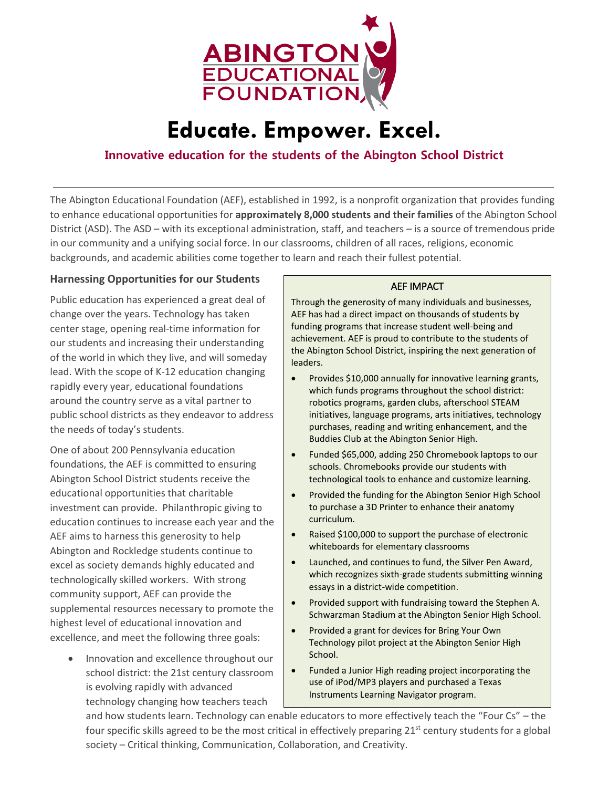

# **Educate. Empower. Excel.**

# **Innovative education for the students of the Abington School District**

The Abington Educational Foundation (AEF), established in 1992, is a nonprofit organization that provides funding to enhance educational opportunities for **approximately 8,000 students and their families** of the Abington School District (ASD). The ASD – with its exceptional administration, staff, and teachers – is a source of tremendous pride in our community and a unifying social force. In our classrooms, children of all races, religions, economic backgrounds, and academic abilities come together to learn and reach their fullest potential.

# **Harnessing Opportunities for our Students**

Public education has experienced a great deal of change over the years. Technology has taken center stage, opening real-time information for our students and increasing their understanding of the world in which they live, and will someday lead. With the scope of K-12 education changing rapidly every year, educational foundations around the country serve as a vital partner to public school districts as they endeavor to address the needs of today's students.

One of about 200 Pennsylvania education foundations, the AEF is committed to ensuring Abington School District students receive the educational opportunities that charitable investment can provide. Philanthropic giving to education continues to increase each year and the AEF aims to harness this generosity to help Abington and Rockledge students continue to excel as society demands highly educated and technologically skilled workers. With strong community support, AEF can provide the supplemental resources necessary to promote the highest level of educational innovation and excellence, and meet the following three goals:

• Innovation and excellence throughout our school district: the 21st century classroom is evolving rapidly with advanced technology changing how teachers teach

#### AEF IMPACT

Through the generosity of many individuals and businesses, AEF has had a direct impact on thousands of students by funding programs that increase student well-being and achievement. AEF is proud to contribute to the students of the Abington School District, inspiring the next generation of leaders.

- Provides \$10,000 annually for innovative learning grants, which funds programs throughout the school district: robotics programs, garden clubs, afterschool STEAM initiatives, language programs, arts initiatives, technology purchases, reading and writing enhancement, and the Buddies Club at the Abington Senior High.
- Funded \$65,000, adding 250 Chromebook laptops to our schools. Chromebooks provide our students with technological tools to enhance and customize learning.
- Provided the funding for the Abington Senior High School to purchase a 3D Printer to enhance their anatomy curriculum.
- Raised \$100,000 to support the purchase of electronic whiteboards for elementary classrooms
- Launched, and continues to fund, the Silver Pen Award, which recognizes sixth-grade students submitting winning essays in a district-wide competition.
- Provided support with fundraising toward the Stephen A. Schwarzman Stadium at the Abington Senior High School.
- Provided a grant for devices for Bring Your Own Technology pilot project at the Abington Senior High School.
- Funded a Junior High reading project incorporating the use of iPod/MP3 players and purchased a Texas Instruments Learning Navigator program.

and how students learn. Technology can enable educators to more effectively teach the "Four Cs" – the four specific skills agreed to be the most critical in effectively preparing 21<sup>st</sup> century students for a global society – Critical thinking, Communication, Collaboration, and Creativity.